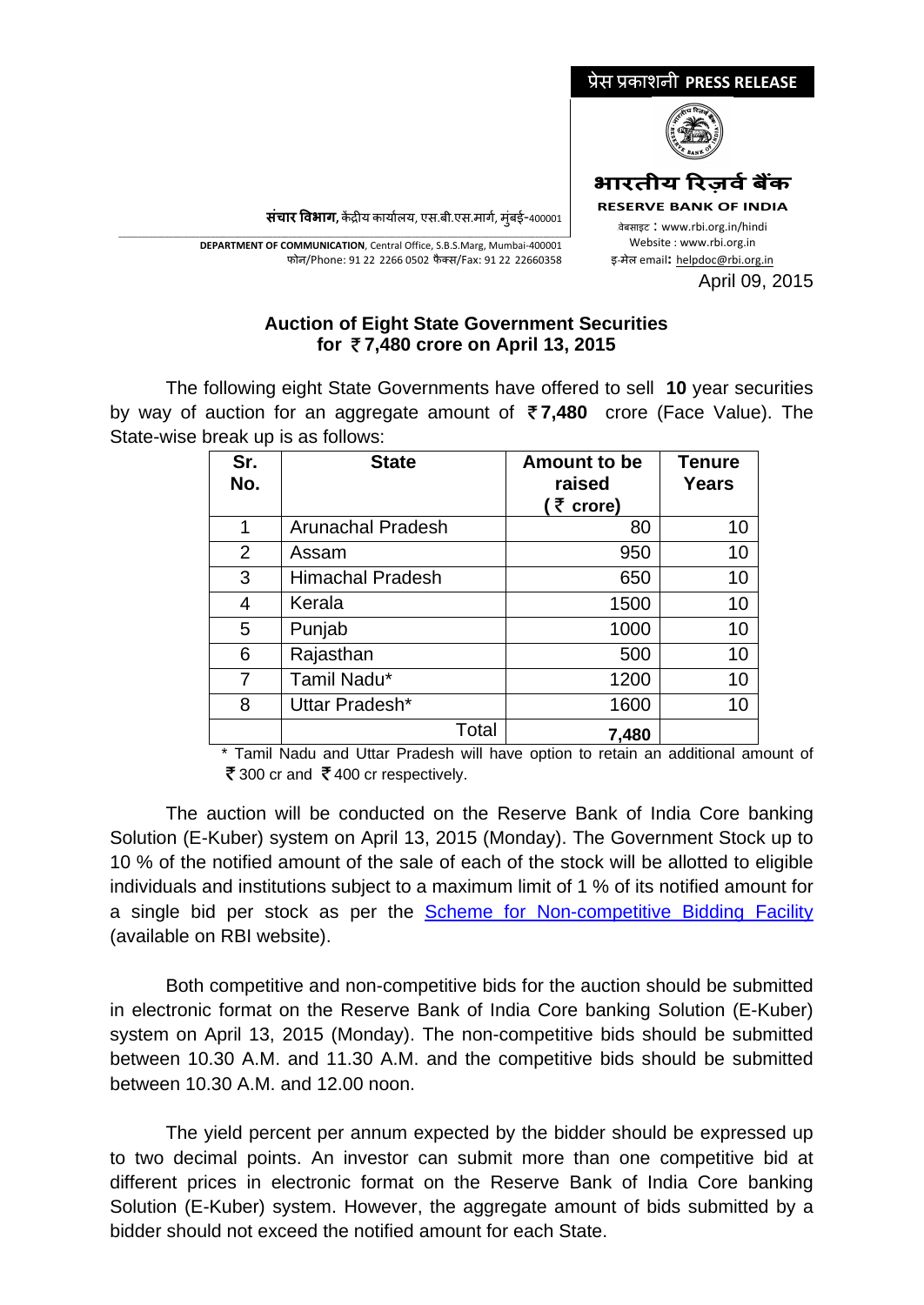

**संचार �वभाग,** क�द्र�य कायार्लय, एस.बी.एस.मागर्, मुंबई-400001

\_\_\_\_\_\_\_\_\_\_\_\_\_\_\_\_\_\_\_\_\_\_\_\_\_\_\_\_\_\_\_\_\_\_\_\_\_\_\_\_\_\_\_\_\_\_\_\_\_\_\_\_\_\_\_\_\_\_\_\_\_\_\_\_\_\_\_\_\_\_\_\_\_\_\_\_\_\_\_\_\_\_\_\_\_\_\_\_\_\_\_\_\_\_\_\_\_\_\_\_\_\_\_\_\_\_\_\_\_\_\_\_\_\_\_\_\_ **DEPARTMENT OF COMMUNICATION**, Central Office, S.B.S.Marg, Mumbai-400001 फोन/Phone: 91 22 2266 0502 फै क्स/Fax: 91 22 22660358

## **Auction of Eight State Government Securities for 7,480 crore on April 13, 2015**

The following eight State Governments have offered to sell **10** year securities by way of auction for an aggregate amount of **7,480** crore (Face Value). The State-wise break up is as follows:

| Sr.<br>No.     | <b>State</b>             | Amount to be<br>raised<br>(そ crore) | <b>Tenure</b><br>Years |
|----------------|--------------------------|-------------------------------------|------------------------|
| 1              | <b>Arunachal Pradesh</b> | 80                                  | 10                     |
| $\overline{2}$ | Assam                    | 950                                 | 10                     |
| 3              | <b>Himachal Pradesh</b>  | 650                                 | 10                     |
| 4              | Kerala                   | 1500                                | 10                     |
| 5              | Punjab                   | 1000                                | 10                     |
| 6              | Rajasthan                | 500                                 | 10                     |
| 7              | Tamil Nadu*              | 1200                                | 10                     |
| 8              | Uttar Pradesh*           | 1600                                | 10                     |
|                | Total                    | 7,480                               |                        |

\* Tamil Nadu and Uttar Pradesh will have option to retain an additional amount of ₹300 cr and ₹400 cr respectively.

The auction will be conducted on the Reserve Bank of India Core banking Solution (E-Kuber) system on April 13, 2015 (Monday). The Government Stock up to 10 % of the notified amount of the sale of each of the stock will be allotted to eligible individuals and institutions subject to a maximum limit of 1 % of its notified amount for a single bid per stock as per the [Scheme for Non-competitive Bidding Facility](https://www.rbi.org.in/scripts/bs_viewcontent.aspx?Id=2748) (available on RBI website).

Both competitive and non-competitive bids for the auction should be submitted in electronic format on the Reserve Bank of India Core banking Solution (E-Kuber) system on April 13, 2015 (Monday). The non-competitive bids should be submitted between 10.30 A.M. and 11.30 A.M. and the competitive bids should be submitted between 10.30 A.M. and 12.00 noon.

The yield percent per annum expected by the bidder should be expressed up to two decimal points. An investor can submit more than one competitive bid at different prices in electronic format on the Reserve Bank of India Core banking Solution (E-Kuber) system. However, the aggregate amount of bids submitted by a bidder should not exceed the notified amount for each State.